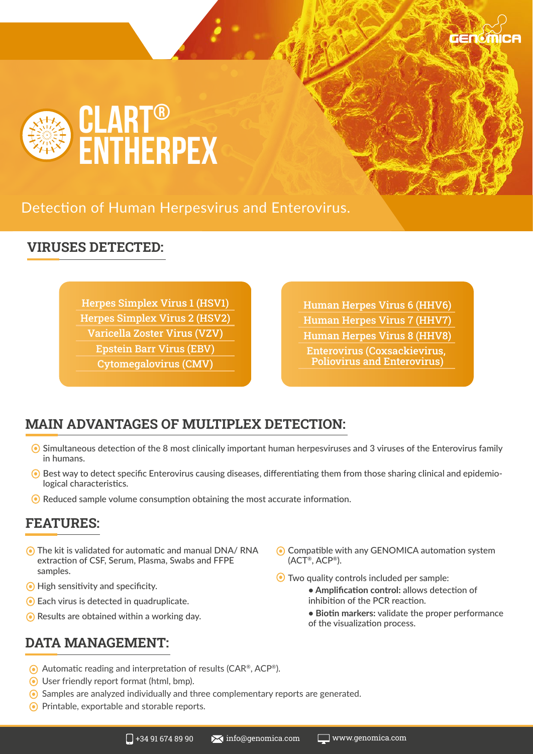

Detection of Human Herpesvirus and Enterovirus.

### **VIRUSES DETECTED:**

Herpes Simplex Virus 1 (HSV1) Herpes Simplex Virus 2 (HSV2) Varicella Zoster Virus (VZV) Epstein Barr Virus (EBV)

Cytomegalovirus (CMV)

Human Herpes Virus 6 (HHV6) Human Herpes Virus 7 (HHV7) Human Herpes Virus 8 (HHV8) Enterovirus (Coxsackievirus, Poliovirus and Enterovirus)

## **MAIN ADVANTAGES OF MULTIPLEX DETECTION:**

- Simultaneous detection of the 8 most clinically important human herpesviruses and 3 viruses of the Enterovirus family in humans.
- $\odot$  Best way to detect specific Enterovirus causing diseases, differentiating them from those sharing clinical and epidemiological characteristics.
- ◯ Reduced sample volume consumption obtaining the most accurate information.

#### **FEATURES:**

- The kit is validated for automatic and manual DNA/ RNA extraction of CSF, Serum, Plasma, Swabs and FFPE samples.
- **•** High sensitivity and specificity.
- Each virus is detected in quadruplicate.
- **●** Results are obtained within a working day.

#### **DATA MANAGEMENT:**

- Compatible with any GENOMICA automation system (ACT®, ACP®).
- Two quality controls included per sample:
	- **Amplification control:** allows detection of inhibition of the PCR reaction.
	- **Biotin markers:** validate the proper performance of the visualization process.
- Automatic reading and interpretation of results (CAR®, ACP®).
- User friendly report format (html, bmp).
- Samples are analyzed individually and three complementary reports are generated.
- Printable, exportable and storable reports.